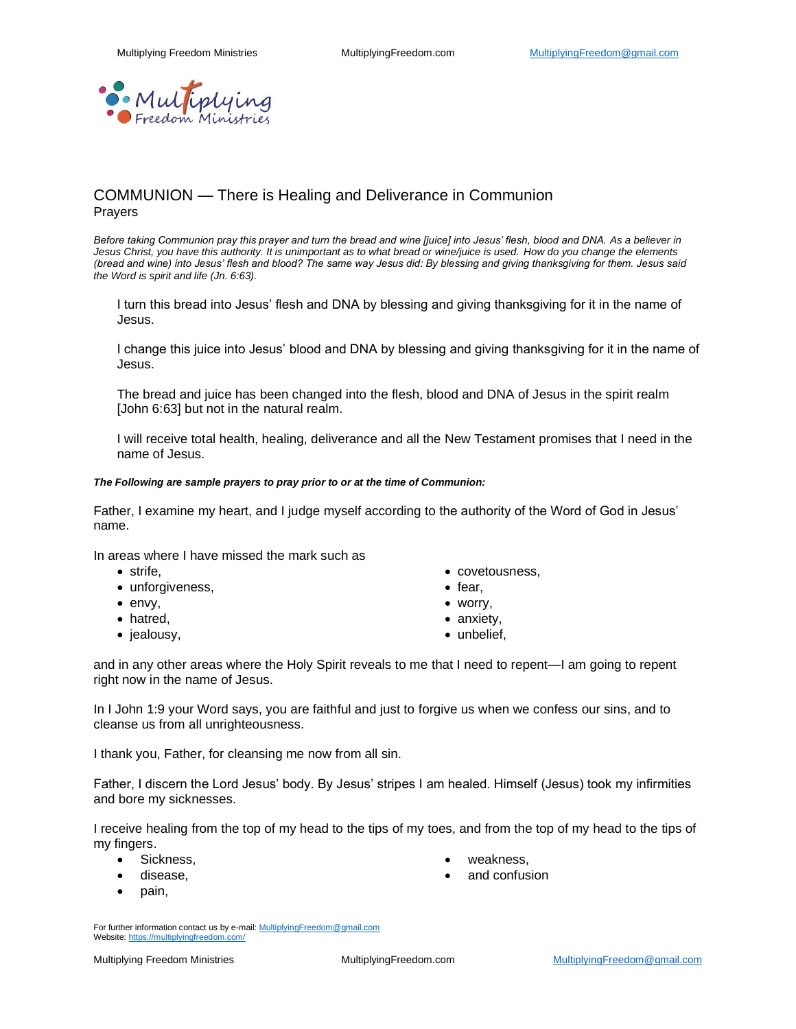

# COMMUNION — There is Healing and Deliverance in Communion Prayers

*Before taking Communion pray this prayer and turn the bread and wine [juice] into Jesus' flesh, blood and DNA. As a believer in Jesus Christ, you have this authority. It is unimportant as to what bread or wine/juice is used. How do you change the elements (bread and wine) into Jesus' flesh and blood? The same way Jesus did: By blessing and giving thanksgiving for them. Jesus said the Word is spirit and life (Jn. 6:63).*

I turn this bread into Jesus' flesh and DNA by blessing and giving thanksgiving for it in the name of Jesus.

I change this juice into Jesus' blood and DNA by blessing and giving thanksgiving for it in the name of Jesus.

The bread and juice has been changed into the flesh, blood and DNA of Jesus in the spirit realm [John 6:63] but not in the natural realm.

I will receive total health, healing, deliverance and all the New Testament promises that I need in the name of Jesus.

#### *The Following are sample prayers to pray prior to or at the time of Communion:*

Father, I examine my heart, and I judge myself according to the authority of the Word of God in Jesus' name.

In areas where I have missed the mark such as

- strife,
- unforgiveness,
- envy,
- hatred,
- jealousy,
- covetousness,
- fear,
- worry,
- anxiety,
- unbelief.

and in any other areas where the Holy Spirit reveals to me that I need to repent—I am going to repent right now in the name of Jesus.

In I John 1:9 your Word says, you are faithful and just to forgive us when we confess our sins, and to cleanse us from all unrighteousness.

I thank you, Father, for cleansing me now from all sin.

Father, I discern the Lord Jesus' body. By Jesus' stripes I am healed. Himself (Jesus) took my infirmities and bore my sicknesses.

I receive healing from the top of my head to the tips of my toes, and from the top of my head to the tips of my fingers.

- Sickness,
- disease,
- pain,
- weakness.
- and confusion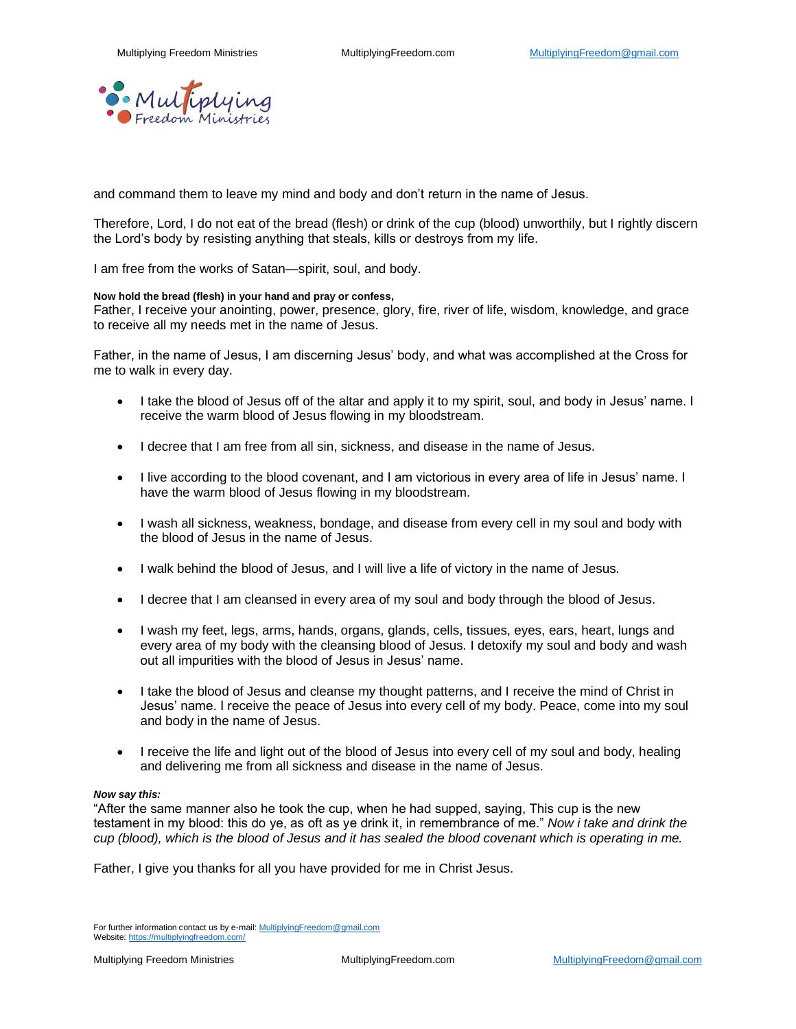

and command them to leave my mind and body and don't return in the name of Jesus.

Therefore, Lord, I do not eat of the bread (flesh) or drink of the cup (blood) unworthily, but I rightly discern the Lord's body by resisting anything that steals, kills or destroys from my life.

I am free from the works of Satan—spirit, soul, and body.

#### **Now hold the bread (flesh) in your hand and pray or confess,**

Father, I receive your anointing, power, presence, glory, fire, river of life, wisdom, knowledge, and grace to receive all my needs met in the name of Jesus.

Father, in the name of Jesus, I am discerning Jesus' body, and what was accomplished at the Cross for me to walk in every day.

- I take the blood of Jesus off of the altar and apply it to my spirit, soul, and body in Jesus' name. I receive the warm blood of Jesus flowing in my bloodstream.
- I decree that I am free from all sin, sickness, and disease in the name of Jesus.
- I live according to the blood covenant, and I am victorious in every area of life in Jesus' name. I have the warm blood of Jesus flowing in my bloodstream.
- I wash all sickness, weakness, bondage, and disease from every cell in my soul and body with the blood of Jesus in the name of Jesus.
- I walk behind the blood of Jesus, and I will live a life of victory in the name of Jesus.
- I decree that I am cleansed in every area of my soul and body through the blood of Jesus.
- I wash my feet, legs, arms, hands, organs, glands, cells, tissues, eyes, ears, heart, lungs and every area of my body with the cleansing blood of Jesus. I detoxify my soul and body and wash out all impurities with the blood of Jesus in Jesus' name.
- I take the blood of Jesus and cleanse my thought patterns, and I receive the mind of Christ in Jesus' name. I receive the peace of Jesus into every cell of my body. Peace, come into my soul and body in the name of Jesus.
- I receive the life and light out of the blood of Jesus into every cell of my soul and body, healing and delivering me from all sickness and disease in the name of Jesus.

#### *Now say this:*

"After the same manner also he took the cup, when he had supped, saying, This cup is the new testament in my blood: this do ye, as oft as ye drink it, in remembrance of me." *Now i take and drink the cup (blood), which is the blood of Jesus and it has sealed the blood covenant which is operating in me.*

Father, I give you thanks for all you have provided for me in Christ Jesus.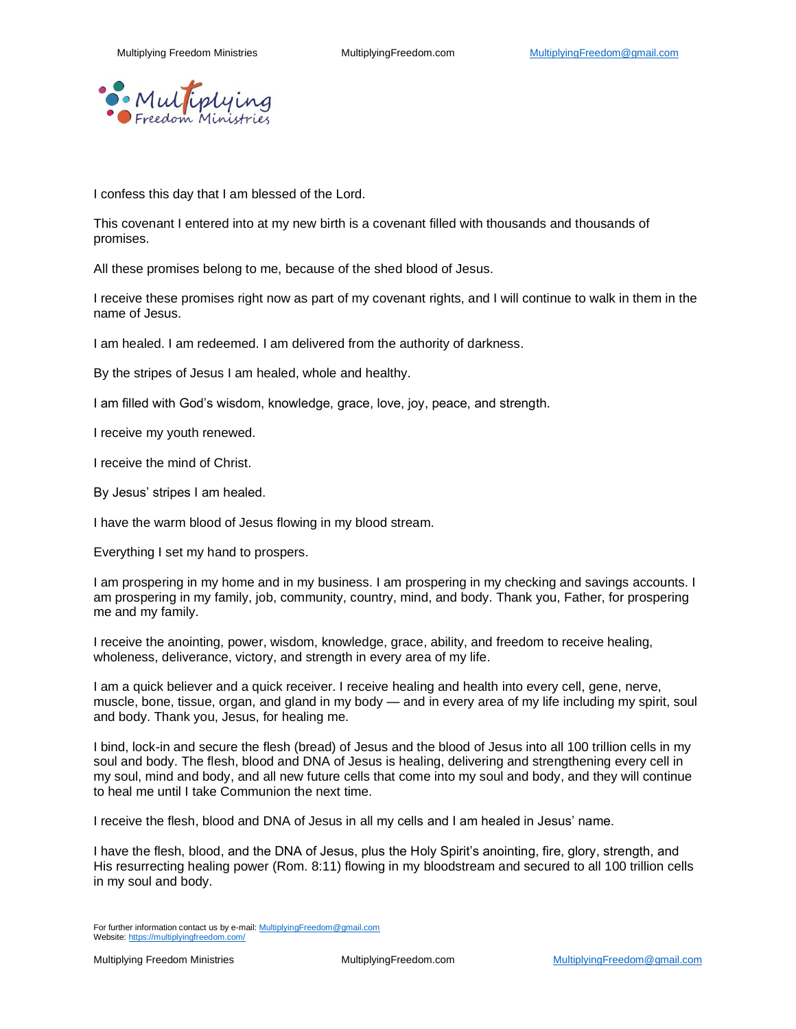

I confess this day that I am blessed of the Lord.

This covenant I entered into at my new birth is a covenant filled with thousands and thousands of promises.

All these promises belong to me, because of the shed blood of Jesus.

I receive these promises right now as part of my covenant rights, and I will continue to walk in them in the name of Jesus.

I am healed. I am redeemed. I am delivered from the authority of darkness.

By the stripes of Jesus I am healed, whole and healthy.

I am filled with God's wisdom, knowledge, grace, love, joy, peace, and strength.

I receive my youth renewed.

I receive the mind of Christ.

By Jesus' stripes I am healed.

I have the warm blood of Jesus flowing in my blood stream.

Everything I set my hand to prospers.

I am prospering in my home and in my business. I am prospering in my checking and savings accounts. I am prospering in my family, job, community, country, mind, and body. Thank you, Father, for prospering me and my family.

I receive the anointing, power, wisdom, knowledge, grace, ability, and freedom to receive healing, wholeness, deliverance, victory, and strength in every area of my life.

I am a quick believer and a quick receiver. I receive healing and health into every cell, gene, nerve, muscle, bone, tissue, organ, and gland in my body — and in every area of my life including my spirit, soul and body. Thank you, Jesus, for healing me.

I bind, lock-in and secure the flesh (bread) of Jesus and the blood of Jesus into all 100 trillion cells in my soul and body. The flesh, blood and DNA of Jesus is healing, delivering and strengthening every cell in my soul, mind and body, and all new future cells that come into my soul and body, and they will continue to heal me until I take Communion the next time.

I receive the flesh, blood and DNA of Jesus in all my cells and I am healed in Jesus' name.

I have the flesh, blood, and the DNA of Jesus, plus the Holy Spirit's anointing, fire, glory, strength, and His resurrecting healing power (Rom. 8:11) flowing in my bloodstream and secured to all 100 trillion cells in my soul and body.

For further information contact us by e-mail[: MultiplyingFreedom@gmail.com](mailto:MultiplyingFreedom@gmail.com) Website[: https://multiplyingfreedom.com/](https://multiplyingfreedom.com/)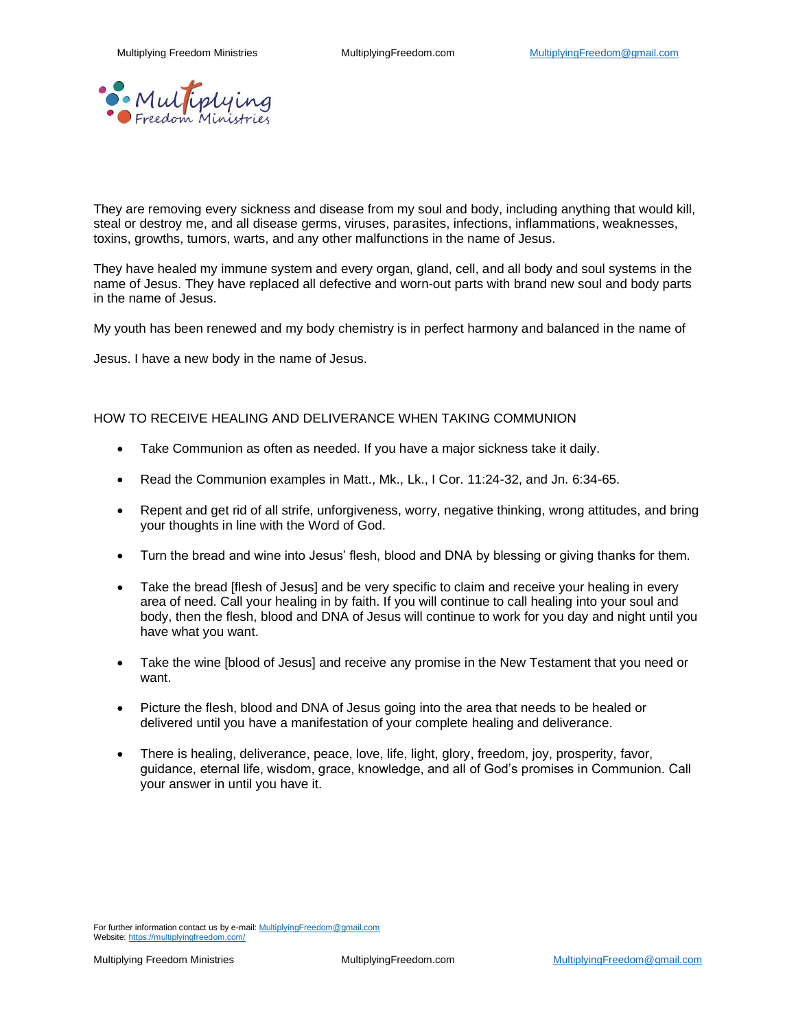

They are removing every sickness and disease from my soul and body, including anything that would kill, steal or destroy me, and all disease germs, viruses, parasites, infections, inflammations, weaknesses, toxins, growths, tumors, warts, and any other malfunctions in the name of Jesus.

They have healed my immune system and every organ, gland, cell, and all body and soul systems in the name of Jesus. They have replaced all defective and worn-out parts with brand new soul and body parts in the name of Jesus.

My youth has been renewed and my body chemistry is in perfect harmony and balanced in the name of

Jesus. I have a new body in the name of Jesus.

## HOW TO RECEIVE HEALING AND DELIVERANCE WHEN TAKING COMMUNION

- Take Communion as often as needed. If you have a major sickness take it daily.
- Read the Communion examples in Matt., Mk., Lk., I Cor. 11:24-32, and Jn. 6:34-65.
- Repent and get rid of all strife, unforgiveness, worry, negative thinking, wrong attitudes, and bring your thoughts in line with the Word of God.
- Turn the bread and wine into Jesus' flesh, blood and DNA by blessing or giving thanks for them.
- Take the bread [flesh of Jesus] and be very specific to claim and receive your healing in every area of need. Call your healing in by faith. If you will continue to call healing into your soul and body, then the flesh, blood and DNA of Jesus will continue to work for you day and night until you have what you want.
- Take the wine [blood of Jesus] and receive any promise in the New Testament that you need or want.
- Picture the flesh, blood and DNA of Jesus going into the area that needs to be healed or delivered until you have a manifestation of your complete healing and deliverance.
- There is healing, deliverance, peace, love, life, light, glory, freedom, joy, prosperity, favor, guidance, eternal life, wisdom, grace, knowledge, and all of God's promises in Communion. Call your answer in until you have it.